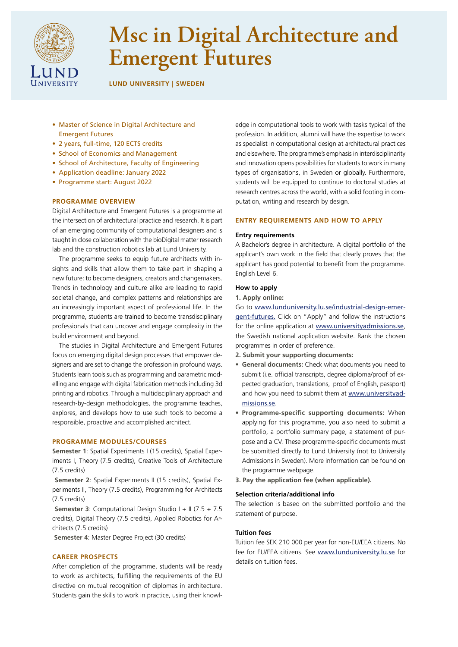

# **Msc in Digital Architecture and Emergent Futures**

**LUND UNIVERSITY | SWEDEN**

- Master of Science in Digital Architecture and Emergent Futures
- 2 years, full-time, 120 ECTS credits
- School of Economics and Management
- School of Architecture, Faculty of Engineering
- Application deadline: January 2022
- Programme start: August 2022

# **PROGRAMME OVERVIEW**

Digital Architecture and Emergent Futures is a programme at the intersection of architectural practice and research. It is part of an emerging community of computational designers and is taught in close collaboration with the bioDigital matter research lab and the construction robotics lab at Lund University.

The programme seeks to equip future architects with insights and skills that allow them to take part in shaping a new future: to become designers, creators and changemakers. Trends in technology and culture alike are leading to rapid societal change, and complex patterns and relationships are an increasingly important aspect of professional life. In the programme, students are trained to become transdisciplinary professionals that can uncover and engage complexity in the build environment and beyond.

The studies in Digital Architecture and Emergent Futures focus on emerging digital design processes that empower designers and are set to change the profession in profound ways. Students learn tools such as programming and parametric modelling and engage with digital fabrication methods including 3d printing and robotics. Through a multidisciplinary approach and research-by-design methodologies, the programme teaches, explores, and develops how to use such tools to become a responsible, proactive and accomplished architect.

# **PROGRAMME MODULES/COURSES**

**Semester 1**: Spatial Experiments I (15 credits), Spatial Experiments I, Theory (7.5 credits), Creative Tools of Architecture (7.5 credits)

 **Semester 2**: Spatial Experiments II (15 credits), Spatial Experiments II, Theory (7.5 credits), Programming for Architects (7.5 credits)

**Semester 3**: Computational Design Studio I + II (7.5 + 7.5) credits), Digital Theory (7.5 credits), Applied Robotics for Architects (7.5 credits)

 **Semester 4**: Master Degree Project (30 credits)

#### **CAREER PROSPECTS**

After completion of the programme, students will be ready to work as architects, fulfilling the requirements of the EU directive on mutual recognition of diplomas in architecture. Students gain the skills to work in practice, using their knowledge in computational tools to work with tasks typical of the profession. In addition, alumni will have the expertise to work as specialist in computational design at architectural practices and elsewhere. The programme's emphasis in interdisciplinarity and innovation opens possibilities for students to work in many types of organisations, in Sweden or globally. Furthermore, students will be equipped to continue to doctoral studies at research centres across the world, with a solid footing in computation, writing and research by design.

#### **ENTRY REQUIREMENTS AND HOW TO APPLY**

#### **Entry requirements**

A Bachelor's degree in architecture. A digital portfolio of the applicant's own work in the field that clearly proves that the applicant has good potential to benefit from the programme. English Level 6.

#### **How to apply**

# **1. Apply online:**

Go to [www.lunduniversity.lu.se/industrial-design-emer](http://www.lunduniversity.lu.se/industrial-design-emergent-futures)[gent-future](http://www.lunduniversity.lu.se/industrial-design-emergent-futures)s. Click on "Apply" and follow the instructions for the online application at [www.universityadmissions.se](https://www.universityadmissions.se), the Swedish national application website. Rank the chosen programmes in order of preference.

- **2. Submit your supporting documents:**
- **• General documents:** Check what documents you need to submit (i.e. official transcripts, degree diploma/proof of expected graduation, translations, proof of English, passport) and how you need to submit them at [www.universityad](https://www.universityadmissions.se)[missions.se](https://www.universityadmissions.se).
- **• Programme-specific supporting documents:** When applying for this programme, you also need to submit a portfolio, a portfolio summary page, a statement of purpose and a CV. These programme-specific documents must be submitted directly to Lund University (not to University Admissions in Sweden). More information can be found on the programme webpage.
- **3. Pay the application fee (when applicable).**

#### **Selection criteria/additional info**

The selection is based on the submitted portfolio and the statement of purpose.

#### **Tuition fees**

Tuition fee SEK 210 000 per year for non-EU/EEA citizens. No fee for EU/EEA citizens. See [www.lunduniversity.lu.se](https://www.lunduniversity.lu.se) for details on tuition fees.